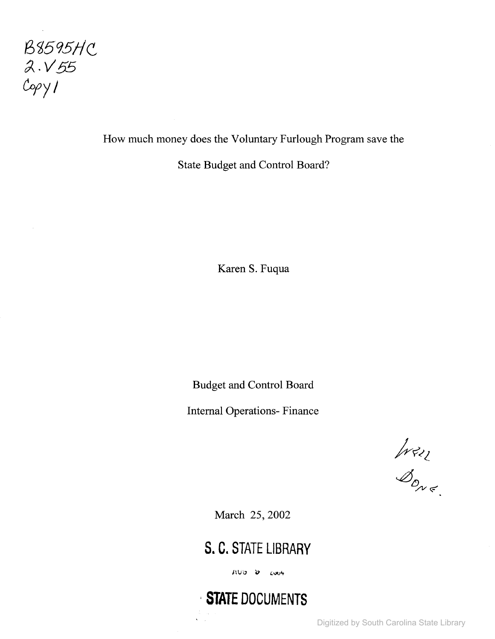

How much money does the Voluntary Furlough Program save the

State Budget and Control Board?

Karen S. Fuqua

Budget and Control Board

Internal Operations- Finance

Iran

March 25,2002

**s. C. STATE LIBRARY**

AUD D LOOK

,**STATE DOCUMENTS**

Digitized by South Carolina State Library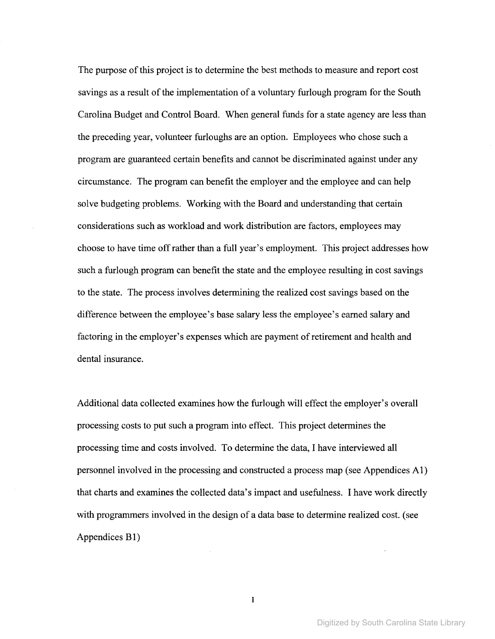The purpose of this project is to determine the best methods to measure and report cost savings as a result of the implementation of a voluntary furlough program for the South Carolina Budget and Control Board. When general funds for a state agency are less than the preceding year, volunteer furloughs are an option. Employees who chose such a program are guaranteed certain benefits and cannot be discriminated against under any circumstance. The program can benefit the employer and the employee and can help solve budgeting problems. Working with the Board and understanding that certain considerations such as workload and work distribution are factors, employees may choose to have time offrather than a full year's employment. This project addresses how such a furlough program can benefit the state and the employee resulting in cost savings to the state. The process involves determining the realized cost savings based on the difference between the employee's base salary less the employee's earned salary and factoring in the employer's expenses which are payment of retirement and health and dental insurance.

Additional data collected examines how the furlough will effect the employer's overall processing costs to put such a program into effect. This project determines the processing time and costs involved. To determine the data, I have interviewed all personnel involved in the processing and constructed a process map (see Appendices AI) that charts and examines the collected data's impact and usefulness. I have work directly with programmers involved in the design of a data base to determine realized cost. (see Appendices BI)

 $\mathbf{1}$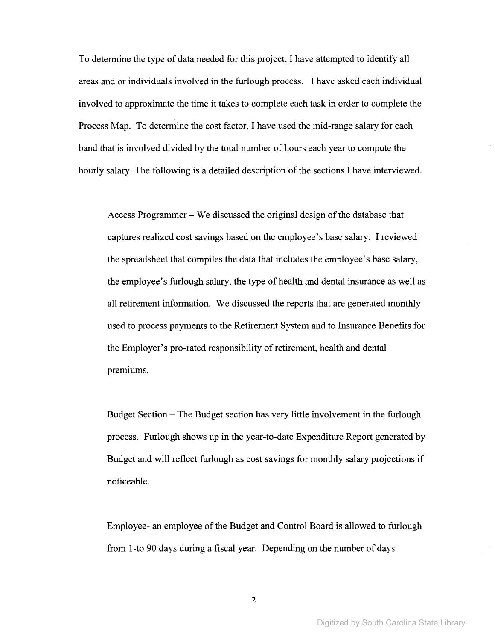To determine the type of data needed for this project, I have attempted to identify all areas and or individuals involved in the furlough process. I have asked each individual involved to approximate the time it takes to complete each task in order to complete the Process Map. To determine the cost factor, I have used the mid-range salary for each band that is involved divided by the total number of hours each year to compute the hourly salary. The following is a detailed description of the sections I have interviewed.

Access Programmer  $-$  We discussed the original design of the database that captures realized cost savings based on the employee's base salary. I reviewed the spreadsheet that compiles the data that includes the employee's base salary, the employee's furlough salary, the type of health and dental insurance as well as all retirement information. We discussed the reports that are generated monthly used to process payments to the Retirement System and to Insurance Benefits for the Employer's pro-rated responsibility of retirement, health and dental premiums.

Budget Section – The Budget section has very little involvement in the furlough process. Furlough shows up in the year-to-date Expenditure Report generated by Budget and will reflect furlough as cost savings for monthly salary projections if noticeable.

Employee- an employee ofthe Budget and Control Board is allowed to furlough from I-to 90 days during a fiscal year. Depending on the number of days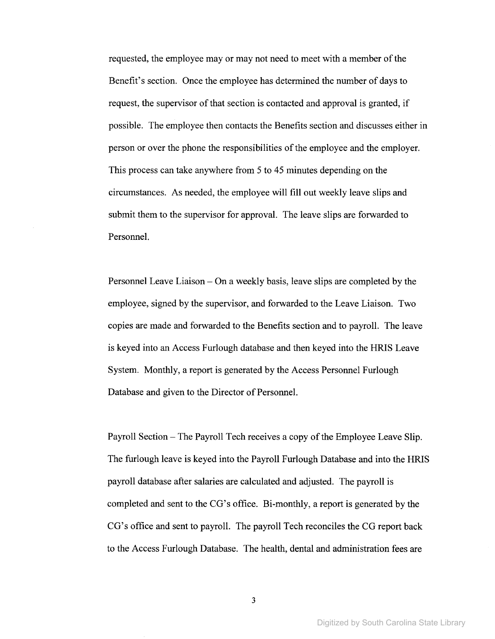requested, the employee may or may not need to meet with a member of the Benefit's section. Once the employee has determined the number of days to request, the supervisor of that section is contacted and approval is granted, if possible. The employee then contacts the Benefits section and discusses either in person or over the phone the responsibilities of the employee and the employer. This process can take anywhere from 5 to 45 minutes depending on the circumstances. As needed, the employee will fill out weekly leave slips and submit them to the supervisor for approval. The leave slips are forwarded to Personnel.

Personnel Leave Liaison – On a weekly basis, leave slips are completed by the employee, signed by the supervisor, and forwarded to the Leave Liaison. Two copies are made and forwarded to the Benefits section and to payroll. The leave is keyed into an Access Furlough database and then keyed into the HRIS Leave System. Monthly, a report is generated by the Access Personnel Furlough Database and given to the Director of Personnel.

Payroll Section – The Payroll Tech receives a copy of the Employee Leave Slip. The furlough leave is keyed into the Payroll Furlough Database and into the HRIS payroll database after salaries are calculated and adjusted. The payroll is completed and sent to the CG's office. Bi-monthly, a report is generated by the CG's office and sent to payroll. The payroll Tech reconciles the CG report back to the Access Furlough Database. The health, dental and administration fees are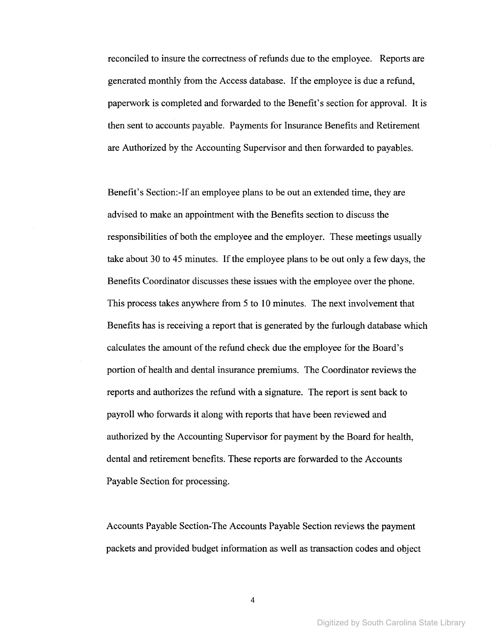reconciled to insure the correctness ofrefunds due to the employee. Reports are generated monthly from the Access database. Ifthe employee is due a refund, paperwork is completed and forwarded to the Benefit's section for approval. It is then sent to accounts payable. Payments for Insurance Benefits and Retirement are Authorized by the Accounting Supervisor and then forwarded to payables.

Benefit's Section:-If an employee plans to be out an extended time, they are advised to make an appointment with the Benefits section to discuss the responsibilities of both the employee and the employer. These meetings usually take about 30 to 45 minutes. If the employee plans to be out only a few days, the Benefits Coordinator discusses these issues with the employee over the phone. This process takes anywhere from 5 to 10 minutes. The next involvement that Benefits has is receiving a report that is generated by the furlough database which calculates the amount of the refund check due the employee for the Board's portion of health and dental insurance premiums. The Coordinator reviews the reports and authorizes the refund with a signature. The report is sent back to payroll who forwards it along with reports that have been reviewed and authorized by the Accounting Supervisor for payment by the Board for health, dental and retirement benefits. These reports are forwarded to the Accounts Payable Section for processing.

Accounts Payable Section-The Accounts Payable Section reviews the payment packets and provided budget information as well as transaction codes and object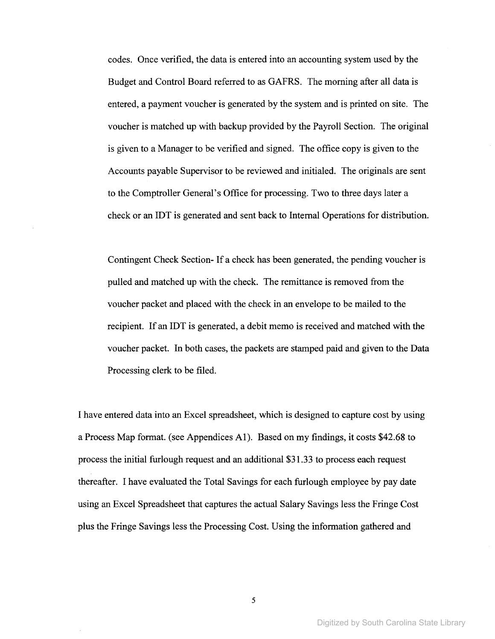codes. Once verified, the data is entered into an accounting system used by the Budget and Control Board referred to as GAFRS. The morning after all data is entered, a payment voucher is generated by the system and is printed on site. The voucher is matched up with backup provided by the Payroll Section. The original is given to a Manager to be verified and signed. The office copy is given to the Accounts payable Supervisor to be reviewed and initialed. The originals are sent to the Comptroller General's Office for processing. Two to three days later a check or an IDT is generated and sent back to Internal Operations for distribution.

Contingent Check Section- If a check has been generated, the pending voucher is pulled and matched up with the check. The remittance is removed from the voucher packet and placed with the check in an envelope to be mailed to the recipient. If an IDT is generated, a debit memo is received and matched with the voucher packet. In both cases, the packets are stamped paid and given to the Data Processing clerk to be filed.

I have entered data into an Excel spreadsheet, which is designed to capture cost by using a Process Map format. (see Appendices AI). Based on my findings, it costs \$42.68 to process the initial furlough request and an additional \$31.33 to process each request thereafter. I have evaluated the Total Savings for each furlough employee by pay date using an Excel Spreadsheet that captures the actual Salary Savings less the Fringe Cost plus the Fringe Savings less the Processing Cost. Using the information gathered and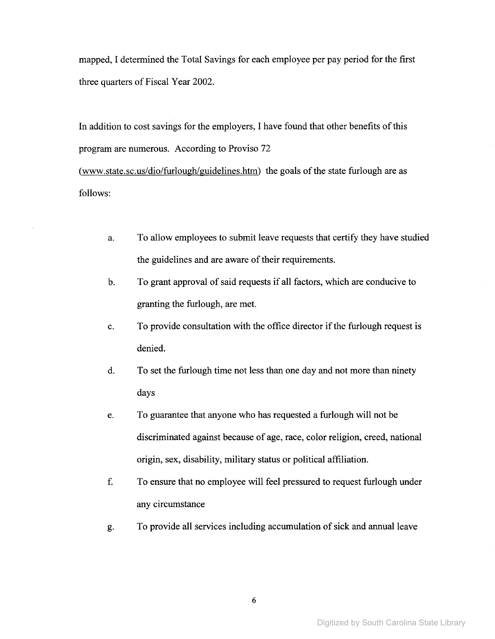mapped, I determined the Total Savings for each employee per pay period for the first three quarters of Fiscal Year 2002.

In addition to cost savings for the employers, I have found that other benefits of this program are numerous. According to Proviso 72 (www.state.sc.us/dio/furlough/guidelines.htm) the goals of the state furlough are as follows:

- a. To allow employees to submit leave requests that certify they have studied the guidelines and are aware of their requirements.
- b. To grant approval of said requests if all factors, which are conducive to granting the furlough, are met.
- c. To provide consultation with the office director if the furlough request is denied.
- d. To set the furlough time not less than one day and not more than ninety days
- e. To guarantee that anyone who has requested a furlough will not be discriminated against because of age, race, color religion, creed, national origin, sex, disability, military status or political affiliation.
- f. To ensure that no employee will feel pressured to request furlough under any circumstance
- g. To provide all services including accumulation of sick and annual leave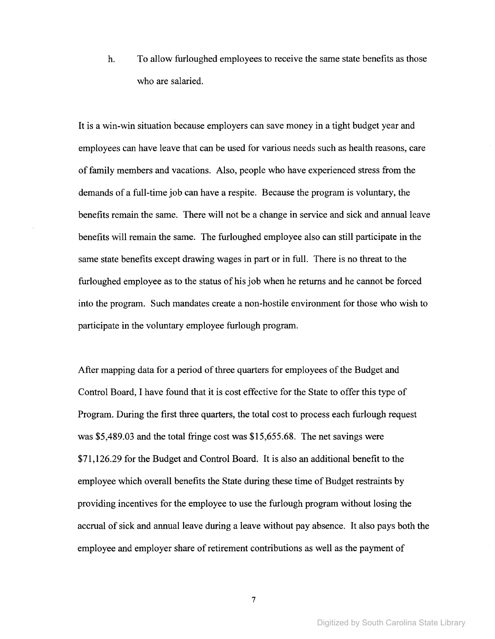h. To allow furloughed employees to receive the same state benefits as those who are salaried.

It is a win-win situation because employers can save money in a tight budget year and employees can have leave that can be used for various needs such as health reasons, care offamily members and vacations. Also, people who have experienced stress from the demands of a full-time job can have a respite. Because the program is voluntary, the benefits remain the same. There will not be a change in service and sick and annual leave benefits will remain the same. The furloughed employee also can still participate in the same state benefits except drawing wages in part or in full. There is no threat to the furloughed employee as to the status of his job when he returns and he cannot be forced into the program. Such mandates create a non-hostile environment for those who wish to participate in the voluntary employee furlough program.

After mapping data for a period of three quarters for employees of the Budget and Control Board, I have found that it is cost effective for the State to offer this type of Program. During the first three quarters, the total cost to process each furlough request was \$5,489.03 and the total fringe cost was \$15,655.68. The net savings were \$71,126.29 for the Budget and Control Board. It is also an additional benefit to the employee which overall benefits the State during these time of Budget restraints by providing incentives for the employee to use the furlough program without losing the accrual of sick and annual leave during a leave without pay absence. It also pays both the employee and employer share of retirement contributions as well as the payment of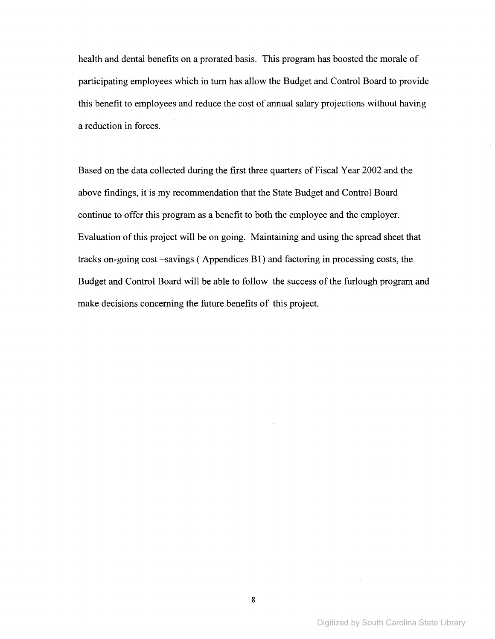health and dental benefits on a prorated basis. This program has boosted the morale of participating employees which in tum has allow the Budget and Control Board to provide this benefit to employees and reduce the cost of annual salary projections without having a reduction in forces.

Based on the data collected during the first three quarters of Fiscal Year 2002 and the above findings, it is my recommendation that the State Budget and Control Board continue to offer this program as a benefit to both the employee and the employer. Evaluation of this project will be on going. Maintaining and using the spread sheet that tracks on-going cost -savings ( Appendices B1) and factoring in processing costs, the Budget and Control Board will be able to follow the success of the furlough program and make decisions concerning the future benefits of this project.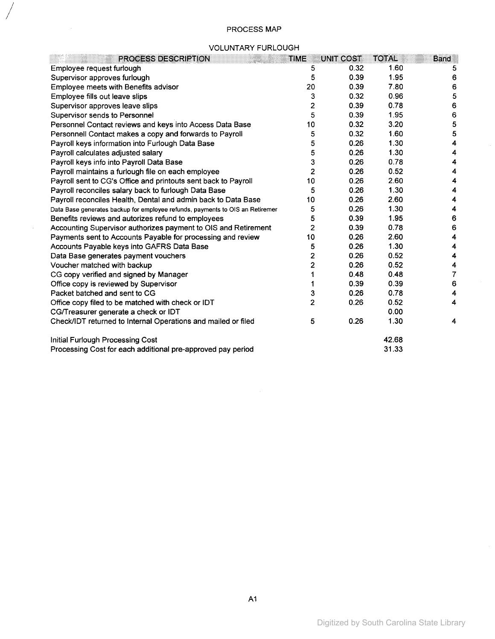# PROCESS MAP

/

 $\mathcal{A}^{\mathcal{A}}$ 

#### VOLUNTARY FURLOUGH

| PROCESS DESCRIPTION                                                           | <b>TIME</b>             | UNIT COST | <b>TOTAL</b> | <b>Band</b> |
|-------------------------------------------------------------------------------|-------------------------|-----------|--------------|-------------|
| Employee request furlough                                                     | 5                       | 0.32      | 1.60         | 5           |
| Supervisor approves furlough                                                  | 5                       | 0.39      | 1.95         | 6           |
| Employee meets with Benefits advisor                                          | 20                      | 0.39      | 7.80         | 6           |
| Employee fills out leave slips                                                | 3                       | 0.32      | 0.96         | 5           |
| Supervisor approves leave slips                                               | $\overline{\mathbf{c}}$ | 0.39      | 0.78         | 6           |
| Supervisor sends to Personnel                                                 | 5                       | 0.39      | 1.95         | 6           |
| Personnel Contact reviews and keys into Access Data Base                      | 10                      | 0.32      | 3.20         | 5           |
| Personnell Contact makes a copy and forwards to Payroll                       | 5                       | 0.32      | 1.60         | 5           |
| Payroll keys information into Furlough Data Base                              | 5                       | 0.26      | 1.30         | 4           |
| Payroll calculates adjusted salary                                            | 5                       | 0.26      | 1.30         | 4           |
| Payroll keys info into Payroll Data Base                                      | 3                       | 0.26      | 0.78         | 4           |
| Payroll maintains a furlough file on each employee                            | 2                       | 0.26      | 0.52         | 4           |
| Payroll sent to CG's Office and printouts sent back to Payroll                | 10                      | 0.26      | 2.60         | 4           |
| Payroll reconciles salary back to furlough Data Base                          | 5                       | 0.26      | 1.30         | 4           |
| Payroll reconciles Health, Dental and admin back to Data Base                 | 10                      | 0.26      | 2.60         | 4           |
| Data Base generates backup for employee refunds, payments to OIS an Retiremer | 5                       | 0.26      | 1.30         | 4           |
| Benefits reviews and autorizes refund to employees                            | 5                       | 0.39      | 1.95         | 6           |
| Accounting Supervisor authorizes payment to OIS and Retirement                | $\overline{2}$          | 0.39      | 0.78         | 6           |
| Payments sent to Accounts Payable for processing and review                   | 10                      | 0.26      | 2.60         | 4           |
| Accounts Payable keys into GAFRS Data Base                                    | 5                       | 0.26      | 1.30         | 4           |
| Data Base generates payment vouchers                                          | 2                       | 0.26      | 0.52         | 4           |
| Voucher matched with backup                                                   | $\overline{2}$          | 0.26      | 0.52         | 4           |
| CG copy verified and signed by Manager                                        | 1                       | 0.48      | 0.48         | 7           |
| Office copy is reviewed by Supervisor                                         | 1                       | 0.39      | 0.39         | 6           |
| Packet batched and sent to CG                                                 | 3                       | 0.26      | 0.78         | 4           |
| Office copy filed to be matched with check or IDT                             | $\overline{2}$          | 0.26      | 0.52         | 4           |
| CG/Treasurer generate a check or IDT                                          |                         |           | 0.00         |             |
| Check/IDT returned to Internal Operations and mailed or filed                 | 5                       | 0.26      | 1.30         | 4           |
| Initial Furlough Processing Cost                                              |                         |           | 42.68        |             |
| Processing Cost for each additional pre-approved pay period                   |                         |           | 31.33        |             |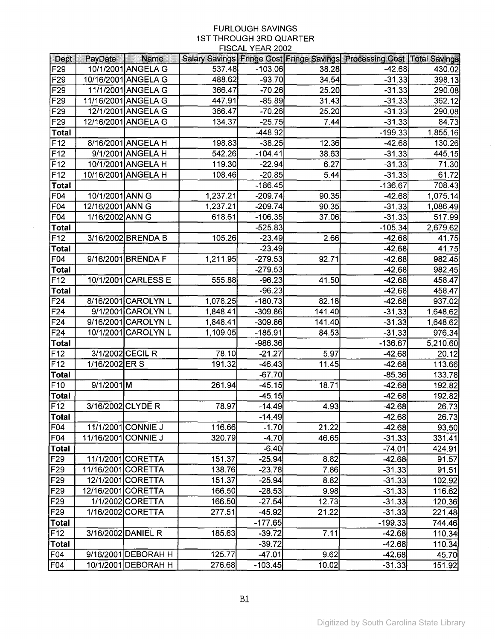|                                    |                     |                     |          | <b>FIOUAL TEAR ZUUZ</b> |                |                                                                                 |                  |
|------------------------------------|---------------------|---------------------|----------|-------------------------|----------------|---------------------------------------------------------------------------------|------------------|
| <b>Dept</b>                        | PayDate             | <b>Name</b>         |          |                         |                | Salary Savings   Fringe Cost   Fringe Savings   Processing Cost   Total Savings |                  |
| F29                                |                     | 10/1/2001 ANGELA G  | 537.48   | $-103.06$<br>$-93.70$   | 38.28          | $-42.68$                                                                        | 430.02           |
| F29                                |                     | 10/16/2001 ANGELA G | 488.62   |                         | 34.54          | $-31.33$                                                                        | 398.13           |
| F29                                |                     | 11/1/2001 ANGELA G  | 366.47   | $-70.26$                | 25.20          | $-31.33$                                                                        | 290.08           |
| F29                                |                     | 11/16/2001 ANGELA G | 447.91   | $-85.89$                | 31.43          | $-31.33$                                                                        | 362.12           |
| F <sub>29</sub>                    |                     | 12/1/2001 ANGELA G  | 366.47   | $-70.26$                | 25.20          | $-31.33$                                                                        | 290.08           |
| F <sub>29</sub>                    |                     | 12/16/2001 ANGELA G | 134.37   | $-25.75$                | 7.44           | $-31.33$                                                                        | 84.73            |
| <b>Total</b>                       |                     |                     |          | $-448.92$               |                | $-199.33$                                                                       | 1,855.16         |
| F <sub>12</sub>                    |                     | 8/16/2001 ANGELA H  | 198.83   | $-38.25$                | 12.36          | $-42.68$                                                                        | 130.26           |
| F12                                |                     | 9/1/2001 ANGELA H   | 542.26   | $-104.41$               | 38.63          | $-31.33$                                                                        | 445.15           |
| F12                                |                     | 10/1/2001 ANGELA H  | 119.30   | $-22.94$                | 6.27           | $-31.33$                                                                        | 71.30            |
| F <sub>12</sub>                    |                     | 10/16/2001 ANGELA H | 108.46   | $-20.85$                | 5.44           | $-31.33$                                                                        | 61.72            |
| <b>Total</b>                       |                     |                     |          | $-186.45$               |                | $-136.67$                                                                       | 708.43           |
| F04                                | 10/1/2001 ANN G     |                     | 1,237.21 | -209.74                 | 90.35          | -42.68                                                                          | 1,075.14         |
| F04                                | 12/16/2001 ANN G    |                     | 1,237.21 | $-209.74$               | 90.35          | $-31.33$                                                                        | 1,086.49         |
| F04                                | 1/16/2002 ANN G     |                     | 618.61   | $-106.35$               | 37.06          | $-31.33$                                                                        | 517.99           |
| <b>Total</b>                       |                     |                     |          | $-525.83$               |                | $-105.34$                                                                       | 2,679.62         |
| F <sub>12</sub>                    |                     | 3/16/2002 BRENDA B  | 105.26   | $-23.49$                | 2.66           | $-42.68$                                                                        | 41.75            |
| <b>Total</b>                       |                     |                     |          | $-23.49$                |                | $-42.68$                                                                        | 41.75            |
| F04                                |                     | 9/16/2001 BRENDA F  | 1,211.95 | $-279.53$               | 92.71          | $-42.68$                                                                        | 982.45           |
| <b>Total</b>                       |                     |                     |          | $-279.53$               |                | $-42.68$                                                                        | 982.45           |
| F12                                |                     | 10/1/2001 CARLESS E | 555.88   | $-96.23$                | 41.50          | $-42.68$                                                                        | 458.47           |
| <b>Total</b>                       |                     |                     |          | $-96.23$                |                | $-42.68$                                                                        | 458.47           |
| F24                                |                     | 8/16/2001 CAROLYN L | 1,078.25 | $-180.73$               | 82.18          | $-42.68$                                                                        | 937.02           |
| F24                                |                     | 9/1/2001 CAROLYN L  | 1,848.41 | $-309.86$               | 141.40         | $-31.33$                                                                        | 1,648.62         |
| F24                                |                     | 9/16/2001 CAROLYN L | 1,848.41 | $-309.86$               | 141.40         | $-31.33$                                                                        | 1,648.62         |
| F24                                |                     | 10/1/2001 CAROLYN L | 1,109.05 | $-185.91$               | 84.53          | $-31.33$                                                                        | 976.34           |
| <b>Total</b>                       |                     |                     |          | $-986.36$               |                | $-136.67$                                                                       | 5,210.60         |
| F12                                |                     | 3/1/2002 CECIL R    | 78.10    | $-21.27$                | 5.97           | $-42.68$                                                                        | 20.12            |
| F12                                | 1/16/2002 ER S      |                     | 191.32   | $-46.43$                | 11.45          | $-42.68$                                                                        | 113.66           |
| <b>Total</b>                       |                     |                     |          | $-67.70$                |                | $-85.36$                                                                        | 133.78           |
| F10                                | 9/1/2001M           |                     | 261.94   | $-45.15$                | 18.71          | $-42.68$                                                                        | 192.82           |
| <b>Total</b><br>F12                |                     |                     |          | $-45.15$                |                | $-42.68$                                                                        | 192.82           |
|                                    | 3/16/2002 CLYDE R   |                     | 78.97    | $-14.49$                | 4.93           | $-42.68$                                                                        | 26.73            |
| Total                              |                     | 11/1/2001 CONNIE J  | 116.66   | $-14.49$                |                | $-42.68$                                                                        | 26.73            |
| F04<br>F04                         | 11/16/2001 CONNIE J |                     | 320.79   | $-1.70$<br>$-4.70$      | 21.22<br>46.65 | $-42.68$                                                                        | 93.50            |
| Total                              |                     |                     |          | $-6.40$                 |                | $-31.33$<br>$-74.01$                                                            | 331.41<br>424.91 |
| F29                                |                     | 11/1/2001 CORETTA   | 151.37   | $-25.94$                | 8.82           | $-42.68$                                                                        | 91.57            |
|                                    | 11/16/2001 CORETTA  |                     | 138.76   | $-23.78$                | 7.86           |                                                                                 |                  |
| F <sub>29</sub><br>F <sub>29</sub> |                     | 12/1/2001 CORETTA   | 151.37   | $-25.94$                | 8.82           | $-31.33$<br>$-31.33$                                                            | 91.51<br>102.92  |
| F29                                |                     | 12/16/2001 CORETTA  | 166.50   | $-28.53$                | 9.98           |                                                                                 |                  |
| F29                                |                     | 1/1/2002 CORETTA    | 166.50   | $-27.54$                | 12.73          | $-31.33$<br>$-31.33$                                                            | 116.62<br>120.36 |
| F29                                |                     | 1/16/2002 CORETTA   | 277.51   | $-45.92$                | 21.22          | $-31.33$                                                                        |                  |
| Total                              |                     |                     |          |                         |                |                                                                                 | 221.48           |
| F12                                |                     | 3/16/2002 DANIEL R  | 185.63   | $-177.65$<br>$-39.72$   | 7.11           | $-199.33$                                                                       | 744.46           |
|                                    |                     |                     |          | $-39.72$                |                | $-42.68$                                                                        | 110.34           |
| Total                              |                     |                     |          |                         |                | $-42.68$                                                                        | 110.34           |
| F <sub>04</sub>                    |                     | 9/16/2001 DEBORAH H | 125.77   | $-47.01$                | 9.62           | $-42.68$                                                                        | 45.70            |
| F <sub>04</sub>                    |                     | 10/1/2001 DEBORAH H | 276.68   | $-103.45$               | 10.02          | $-31.33$                                                                        | 151.92           |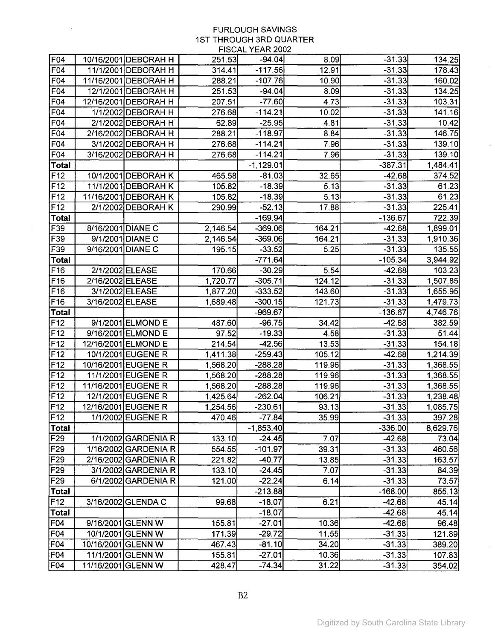$\sim 10^{-10}$ 

 $\sim$   $\sim$ 

| F04             |                    | 10/16/2001 DEBORAH H | 251.53   | $-94.04$    | 8.09   | $-31.33$  | 134.25   |
|-----------------|--------------------|----------------------|----------|-------------|--------|-----------|----------|
| F04             |                    | 11/1/2001 DEBORAH H  | 314.41   | $-117.56$   | 12.91  | $-31.33$  | 178.43   |
| F04             |                    | 11/16/2001 DEBORAH H | 288.21   | $-107.76$   | 10.90  | $-31.33$  | 160.02   |
| F04             |                    | 12/1/2001 DEBORAH H  | 251.53   | $-94.04$    | 8.09   | $-31.33$  | 134.25   |
| F04             |                    | 12/16/2001 DEBORAH H | 207.51   | $-77.60$    | 4.73   | $-31.33$  | 103.31   |
| F04             |                    | 1/1/2002 DEBORAH H   | 276.68   | $-114.21$   | 10.02  | $-31.33$  | 141.16   |
| F04             |                    | 2/1/2002 DEBORAH H   | 62.89    | $-25.95$    | 4.81   | $-31.33$  | 10.42    |
| F04             |                    | 2/16/2002 DEBORAH H  | 288.21   | $-118.97$   | 8.84   | $-31.33$  | 146.75   |
| F04             |                    | 3/1/2002 DEBORAH H   | 276.68   | $-114.21$   | 7.96   | $-31.33$  | 139.10   |
| F04             |                    | 3/16/2002 DEBORAH H  | 276.68   | $-114.21$   | 7.96   | $-31.33$  | 139.10   |
| <b>Total</b>    |                    |                      |          | $-1,129.01$ |        | $-387.31$ | 1,484.41 |
| F <sub>12</sub> |                    | 10/1/2001 DEBORAH K  | 465.58   | $-81.03$    | 32.65  | $-42.68$  | 374.52   |
| F12             |                    | 11/1/2001 DEBORAH K  | 105.82   | $-18.39$    | 5.13   | $-31.33$  | 61.23    |
| F12             |                    | 11/16/2001 DEBORAH K | 105.82   | $-18.39$    | 5.13   | $-31.33$  | 61.23    |
| F <sub>12</sub> |                    | 2/1/2002 DEBORAH K   | 290.99   | $-52.13$    | 17.88  | $-31.33$  | 225.41   |
| <b>Total</b>    |                    |                      |          | $-169.94$   |        | $-136.67$ | 722.39   |
| F39             | 8/16/2001 DIANE C  |                      | 2,146.54 | $-369.06$   | 164.21 | $-42.68$  | 1,899.01 |
| F39             |                    | 9/1/2001 DIANE C     | 2,146.54 | $-369.06$   | 164.21 | $-31.33$  | 1,910.36 |
| F39             | 9/16/2001 DIANE C  |                      | 195.15   | $-33.52$    | 5.25   | $-31.33$  | 135.55   |
| Total           |                    |                      |          | -771.64     |        | $-105.34$ | 3,944.92 |
| F16             |                    | 2/1/2002 ELEASE      | 170.66   | $-30.29$    | 5.54   | $-42.68$  | 103.23   |
| F16             | 2/16/2002 ELEASE   |                      | 1,720.77 | $-305.71$   | 124.12 | $-31.33$  | 1,507.85 |
| F16             |                    | 3/1/2002 ELEASE      | 1,877.20 | $-333.52$   | 143.60 | $-31.33$  | 1,655.95 |
| F16             | 3/16/2002 ELEASE   |                      | 1,689.48 | $-300.15$   | 121.73 | $-31.33$  | 1,479.73 |
| Total           |                    |                      |          | $-969.67$   |        | $-136.67$ | 4,746.76 |
| F12             |                    | 9/1/2001 ELMOND E    | 487.60   | $-96.75$    | 34.42  | $-42.68$  | 382.59   |
| F12             |                    | 9/16/2001 ELMOND E   | 97.52    | $-19.33$    | 4.58   | $-31.33$  | 51.44    |
| F12             |                    | 12/16/2001 ELMOND E  | 214.54   | $-42.56$    | 13.53  | $-31.33$  | 154.18   |
| F <sub>12</sub> |                    | 10/1/2001 EUGENE R   | 1,411.38 | $-259.43$   | 105.12 | $-42.68$  | 1,214.39 |
| F12             |                    | 10/16/2001 EUGENE R  | 1,568.20 | $-288.28$   | 119.96 | $-31.33$  | 1,368.55 |
| F12             |                    | 11/1/2001 EUGENE R   | 1,568.20 | $-288.28$   | 119.96 | $-31.33$  | 1,368.55 |
| F12             |                    | 11/16/2001 EUGENE R  | 1,568.20 | $-288.28$   | 119.96 | $-31.33$  | 1,368.55 |
| F <sub>12</sub> |                    | 12/1/2001 EUGENE R   | 1,425.64 | $-262.04$   | 106.21 | -31.33    | 1,238.48 |
| F12             |                    | 12/16/2001 EUGENE R  | 1,254.56 | $-230.61$   | 93.13  | $-31.33$  | 1,085.75 |
| F12             |                    | 1/1/2002 EUGENE R    | 470.46   | $-77.84$    | 35.99  | $-31.33$  | 397.28   |
| Total           |                    |                      |          | $-1,853.40$ |        | -336.00   | 8,629.76 |
| F29             |                    | 1/1/2002 GARDENIA R  | 133.10   | $-24.45$    | 7.07   | -42.68    | 73.04    |
| F <sub>29</sub> |                    | 1/16/2002 GARDENIA R | 554.55   | -101.97     | 39.31  | $-31.33$  | 460.56   |
| F29             |                    | 2/16/2002 GARDENIA R | 221.82   | $-40.77$    | 13.85  | $-31.33$  | 163.57   |
| F29             |                    | 3/1/2002 GARDENIA R  | 133.10   | $-24.45$    | 7.07   | $-31.33$  | 84.39    |
| F29             |                    | 6/1/2002 GARDENIA R  | 121.00   | $-22.24$    | 6.14   | $-31.33$  | 73.57    |
| Total           |                    |                      |          | -213.88     |        | $-168.00$ | 855.13   |
| F12             |                    | 3/16/2002 GLENDA C   | 99.68    | $-18.07$    | 6.21   | $-42.68$  | 45.14    |
| Total           |                    |                      |          | $-18.07$    |        | $-42.68$  | 45.14    |
| F <sub>04</sub> |                    | 9/16/2001 GLENN W    | 155.81   | $-27.01$    | 10.36  | $-42.68$  | 96.48    |
| F <sub>04</sub> |                    | 10/1/2001 GLENN W    | 171.39   | $-29.72$    | 11.55  | $-31.33$  | 121.89   |
| F04             | 10/16/2001 GLENN W |                      | 467.43   | -81.10      | 34.20  | $-31.33$  | 389.20   |
| F <sub>04</sub> |                    | 11/1/2001 GLENN W    | 155.81   | $-27.01$    | 10.36  | $-31.33$  | 107.83   |
| F <sub>04</sub> | 11/16/2001 GLENN W |                      | 428.47   | $-74.34$    | 31.22  | $-31.33$  | 354.02   |

 $\hat{\mathcal{A}}$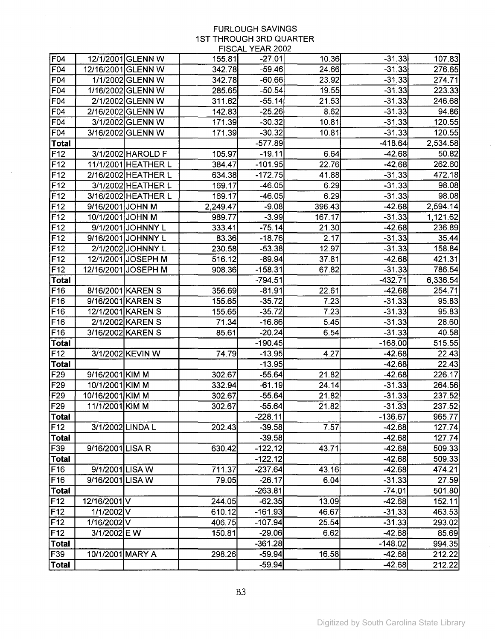$\mathcal{L}^{\text{max}}_{\text{max}}$ 

 $\sim 10^6$ 

|                 |                           |                     |          | <b>INVAL ILANZOVE</b>  |               |                       |                  |
|-----------------|---------------------------|---------------------|----------|------------------------|---------------|-----------------------|------------------|
| F <sub>04</sub> |                           | 12/1/2001 GLENN W   | 155.81   | $-27.01$               | 10.36         | $-31.33$              | 107.83           |
| F04             |                           | 12/16/2001 GLENN W  | 342.78   | $-59.46$               | 24.66         | $-31.33$              | 276.65           |
| F04             |                           | 1/1/2002 GLENN W    | 342.78   | $-60.66$               | 23.92         | $-31.33$              | 274.71           |
| F04             |                           | 1/16/2002 GLENN W   | 285.65   | $-50.54$               | 19.55         | $-31.33$              | 223.33           |
| F04             |                           | 2/1/2002 GLENN W    | 311.62   | $-55.14$               | 21.53         | $-31.33$              | 246.68           |
| F <sub>04</sub> |                           | 2/16/2002 GLENN W   | 142.83   | $-25.26$               | 8.62          | $-31.33$              | 94.86            |
| F04             |                           | 3/1/2002 GLENN W    | 171.39   | $-30.32$               | 10.81         | $-31.33$              | 120.55           |
| F04             |                           | 3/16/2002 GLENN W   | 171.39   | $-30.32$               | 10.81         | $-31.33$              | 120.55           |
| Total           |                           |                     |          | $-577.89$              |               | $-418.64$             | 2,534.58         |
| F12             |                           | 3/1/2002 HAROLD F   | 105.97   | $-19.11$               | 6.64          | $-42.68$              | 50.82            |
| F12             |                           | 11/1/2001 HEATHER L | 384.47   | $-101.95$              | 22.76         | $-42.68$              | 262.60           |
| F12             |                           | 2/16/2002 HEATHER L | 634.38   | $-172.75$              | 41.88         | $-31.33$              | 472.18           |
| F12             |                           | 3/1/2002 HEATHER L  | 169.17   | $-46.05$               | 6.29          | $-31.33$              | 98.08            |
| F <sub>12</sub> |                           | 3/16/2002 HEATHER L | 169.17   | $-46.05$               | 6.29          | $-31.33$              | 98.08            |
| F <sub>12</sub> | 9/16/2001 JOHN M          |                     | 2,249.47 | $-9.08$                | 396.43        | $-42.68$              | 2,594.14         |
| F12             | 10/1/2001 JOHN M          |                     | 989.77   | $-3.99$                | 167.17        | $-31.33$              | 1,121.62         |
| F12             |                           | 9/1/2001 JOHNNY L   | 333.41   | $-75.14$               | 21.30         | $-42.68$              | 236.89           |
| F <sub>12</sub> |                           | 9/16/2001 JOHNNY L  | 83.36    | $-18.76$               | 2.17          | $-31.33$              | 35.44            |
| F12             |                           | 2/1/2002 JOHNNY L   | 230.58   | $-53.38$               | 12.97         | $-31.33$              | 158.84           |
| F12             |                           | 12/1/2001 JOSEPH M  | 516.12   | $-89.94$               | 37.81         | -42.68                | 421.31           |
| F12             |                           | 12/16/2001 JOSEPH M | 908.36   | $-158.31$              | 67.82         | -31.33                | 786.54           |
| Total           |                           |                     |          | $-794.51$              |               | $-432.71$             | 6,336.54         |
| F16             |                           | 8/16/2001 KAREN S   | 356.69   | $-81.91$               | 22.61         | $-42.68$              | 254.71           |
| F16             |                           | 9/16/2001 KAREN S   | 155.65   | $-35.72$               | 7.23          | $-31.33$              | 95.83            |
| F <sub>16</sub> |                           | 12/1/2001 KAREN S   | 155.65   | $-35.72$               | 7.23          | $-31.33$              | 95.83            |
| F16             |                           | 2/1/2002 KAREN S    | 71.34    | $-16.86$               | 5.45          | $-31.33$              | 28.60            |
| F16             |                           | 3/16/2002 KAREN S   | 85.61    | $-20.24$               | 6.54          | $-31.33$              | 40.58            |
| <b>Total</b>    |                           |                     |          | $-190.45$              |               | $-168.00$             | 515.55           |
| F12             |                           | 3/1/2002 KEVIN W    | 74.79    | $-13.95$               | 4.27          | $-42.68$              | 22.43            |
| <b>Total</b>    |                           |                     |          | $-13.95$               |               | $-42.68$              | 22.43            |
| F <sub>29</sub> | 9/16/2001 KIM M           |                     | 302.67   | $-55.64$               | 21.82         | $-42.68$              | 226.17           |
| F <sub>29</sub> | 10/1/2001 KIM M           |                     | 332.94   | $-61.19$               | 24.14         | $-31.33$              | 264.56           |
| F29             | 10/16/2001 KIM M          |                     | 302.67   | $-55.64$               | 21.82         | $-31.33$              | 237.52           |
| F29             | 11/1/2001 KIM M           |                     | 302.67   | $-55.64$               | 21.82         | $-31.33$              | 237.52           |
| Total           |                           |                     |          | $-228.11$              |               | $-136.67$             | 965.77           |
| F12             |                           | 3/1/2002 LINDA L    | 202.43   | $-39.58$               | 7.57          | $-42.68$              | 127.74           |
| Total           |                           |                     |          | -39.58                 |               | $-42.68$              | 127.74           |
| F39             | 9/16/2001 LISA R          |                     | 630.42   | $-122.12$              | 43.71         | $-42.68$              | 509.33           |
| Total           |                           |                     |          | $-122.12$              |               | $-42.68$              | 509.33           |
| F16             | 9/1/2001 LISA W           |                     | 711.37   | $-237.64$              | 43.16         | $-42.68$              | 474.21           |
| F16<br>Total    | 9/16/2001 LISA W          |                     | 79.05    | $-26.17$               | 6.04          | $-31.33$              | 27.59            |
|                 |                           |                     |          | $-263.81$              |               | $-74.01$              | 501.80           |
| F12<br>F12      | 12/16/2001 V<br>1/1/2002V |                     | 244.05   | $-62.35$               | 13.09         | -42.68                | 152.11           |
|                 |                           |                     | 610.12   | $-161.93$<br>$-107.94$ | 46.67         | $-31.33$              | 463.53           |
| F12<br>F12      | 1/16/2002V                |                     | 406.75   | $-29.06$               | 25.54<br>6.62 | $-31.33$              | 293.02           |
| <b>Total</b>    | 3/1/2002 E W              |                     | 150.81   | $-361.28$              |               | $-42.68$<br>$-148.02$ | 85.69            |
| F39             | 10/1/2001 MARY A          |                     | 298.26   | $-59.94$               | 16.58         | $-42.68$              | 994.35<br>212.22 |
|                 |                           |                     |          |                        |               |                       |                  |
| <b>Total</b>    |                           |                     |          | $-59.94$               |               | $-42.68$              | 212.22           |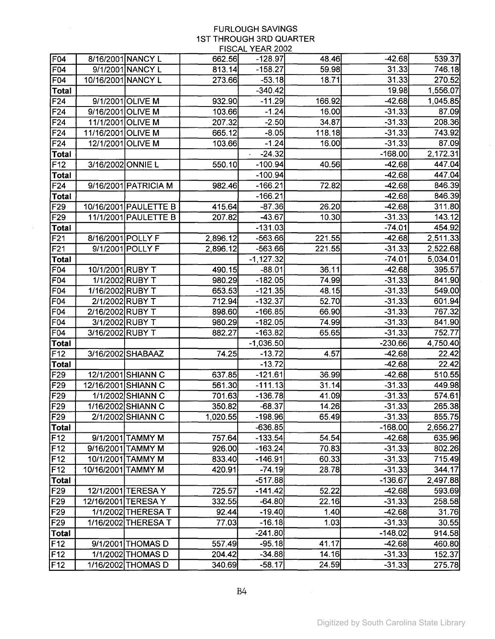|                                 |                    |                       |          | $1.1007 \, \mathrm{m}$ . $1.101 \, \mathrm{m}$ |        |                      |                 |
|---------------------------------|--------------------|-----------------------|----------|------------------------------------------------|--------|----------------------|-----------------|
| F <sub>04</sub>                 |                    | 8/16/2001 NANCY L     | 662.56   | $-128.97$                                      | 48.46  | $-42.68$             | 539.37          |
| F04                             |                    | 9/1/2001 NANCY L      | 813.14   | $-158.27$                                      | 59.98  | 31.33                | 746.18          |
| F04                             | 10/16/2001 NANCY L |                       | 273.66   | $-53.18$                                       | 18.71  | 31.33                | 270.52          |
| Total                           |                    |                       |          | $-340.42$                                      |        | 19.98                | 1,556.07        |
| F <sub>24</sub>                 |                    | 9/1/2001 OLIVE M      | 932.90   | $-11.29$                                       | 166.92 | $-42.68$             | 1,045.85        |
| F <sub>24</sub>                 | 9/16/2001 OLIVE M  |                       | 103.66   | $-1.24$                                        | 16.00  | $-31.33$             | 87.09           |
| F <sub>24</sub>                 | 11/1/2001 OLIVE M  |                       | 207.32   | $-2.50$                                        | 34.87  | $-31.33$             | 208.36          |
| F <sub>24</sub>                 | 11/16/2001 OLIVE M |                       | 665.12   | $-8.05$                                        | 118.18 | $-31.33$             | 743.92          |
| F24                             | 12/1/2001 OLIVE M  |                       | 103.66   | $-1.24$                                        | 16.00  | $-31.33$             | 87.09           |
| <b>Total</b>                    |                    |                       |          | $-24.32$                                       |        | $-168.00$            | 2,172.31        |
| F <sub>12</sub>                 | 3/16/2002 ONNIE L  |                       | 550.10   | $-100.94$                                      | 40.56  | $-42.68$             | 447.04          |
| <b>Total</b>                    |                    |                       |          | $-100.94$                                      |        | $-42.68$             | 447.04          |
| F <sub>24</sub>                 |                    | 9/16/2001 PATRICIA M  | 982.46   | $-166.21$                                      | 72.82  | $-42.68$             | 846.39          |
| Total                           |                    |                       |          | $-166.21$                                      |        | $-42.68$             | 846.39          |
| F <sub>29</sub>                 |                    | 10/16/2001 PAULETTE B | 415.64   | -87.36                                         | 26.20  | $-42.68$             | 311.80          |
| F <sub>29</sub>                 |                    | 11/1/2001 PAULETTE B  | 207.82   | $-43.67$                                       | 10.30  | $-31.33$             | 143.12          |
| Total                           |                    |                       |          | -131.03                                        |        | $-74.01$             | 454.92          |
| F <sub>21</sub>                 | 8/16/2001 POLLY F  |                       | 2,896.12 | -563.66                                        | 221.55 | $-42.68$             | 2,511.33        |
| F <sub>21</sub>                 |                    | 9/1/2001 POLLY F      | 2,896.12 | $-563.66$                                      | 221.55 | $-31.33$             | 2,522.68        |
| <b>Total</b>                    |                    |                       |          | $-1,127.32$                                    |        | $-74.01$             | 5,034.01        |
| F04                             | 10/1/2001 RUBY T   |                       | 490.15   | $-88.01$                                       | 36.11  | $-42.68$             | 395.57          |
| F04                             |                    | 1/1/2002 RUBY T       | 980.29   | $-182.05$                                      | 74.99  | $-31.33$             | 841.90          |
| F04                             | 1/16/2002 RUBY T   |                       | 653.53   | $-121.35$                                      | 48.15  | $-31.33$             | 549.00          |
| F04                             |                    | 2/1/2002 RUBY T       | 712.94   | $-132.37$                                      | 52.70  | $-31.33$             | 601.94          |
| F04                             | 2/16/2002 RUBY T   |                       | 898.60   | $-166.85$                                      | 66.90  | $-31.33$             | 767.32          |
| F04                             |                    | 3/1/2002 RUBY T       | 980.29   | -182.05                                        | 74.99  | $-31.33$             | 841.90          |
| F04                             | 3/16/2002 RUBY T   |                       | 882.27   | $-163.82$                                      | 65.65  | $-31.33$             | 752.77          |
| <b>Total</b>                    |                    |                       |          | $-1,036.50$                                    |        | $-230.66$            | 4,750.40        |
| F12                             |                    | 3/16/2002 SHABAAZ     | 74.25    | $-13.72$                                       | 4.57   | $-42.68$             | 22.42           |
| <b>Total</b><br>F <sub>29</sub> |                    | 12/1/2001 SHIANN C    | 637.85   | $-13.72$<br>$-121.61$                          | 36.99  | $-42.68$<br>$-42.68$ | 22.42<br>510.55 |
| F29                             |                    | 12/16/2001 SHIANN C   | 561.30   | $-111.13$                                      | 31.14  | $-31.33$             | 449.98          |
| F29                             |                    | 1/1/2002 SHIANN C     | 701.63   | $-136.78$                                      | 41.09  | -31.33               | 574.61          |
| F29                             |                    | 1/16/2002 SHIANN C    | 350.82   | $-68.37$                                       | 14.26  | $-31.33$             | 265.38          |
| <b>F29</b>                      |                    | 2/1/2002 SHIANN C     | 1,020.55 | $-198.96$                                      | 65.49  | $-31.33$             | 855.75          |
| Total                           |                    |                       |          | $-636.85$                                      |        | -168.00              | 2,656.27        |
| F12                             |                    | 9/1/2001 TAMMY M      | 757.64   | $-133.54$                                      | 54.54  | -42.68               | 635.96          |
| F <sub>12</sub>                 |                    | 9/16/2001 TAMMY M     | 926.00   | $-163.24$                                      | 70.83  | $-31.33$             | 802.26          |
| F <sub>12</sub>                 |                    | 10/1/2001 TAMMY M     | 833.40   | $-146.91$                                      | 60.33  | $-31.33$             | 715.49          |
| F <sub>12</sub>                 | 10/16/2001 TAMMY M |                       | 420.91   | $-74.19$                                       | 28.78  | $-31.33$             | 344.17          |
| <b>Total</b>                    |                    |                       |          | $-517.88$                                      |        | $-136.67$            | 2,497.88        |
| F29                             |                    | 12/1/2001 TERESA Y    | 725.57   | $-141.42$                                      | 52.22  | $-42.68$             | 593.69          |
| F <sub>29</sub>                 |                    | 12/16/2001 TERESA Y   | 332.55   | $-64.80$                                       | 22.16  | $-31.33$             | 258.58          |
| F <sub>29</sub>                 |                    | 1/1/2002 THERESA T    | 92.44    | $-19.40$                                       | 1.40   | $-42.68$             | 31.76           |
| F29                             |                    | 1/16/2002 THERESA T   | 77.03    | $-16.18$                                       | 1.03   | $-31.33$             | 30.55           |
| <b>Total</b>                    |                    |                       |          | $-241.80$                                      |        | $-148.02$            | 914.58          |
| F12                             |                    | 9/1/2001 THOMAS D     | 557.49   | $-95.18$                                       | 41.17  | $-42.68$             | 460.80          |
| F <sub>12</sub>                 |                    | 1/1/2002 THOMAS D     | 204.42   | $-34.88$                                       | 14.16  | $-31.33$             | 152.37          |
| F <sub>12</sub>                 |                    | 1/16/2002 THOMAS D    | 340.69   | $-58.17$                                       | 24.59  | $-31.33$             | 275.78          |

 $\sim 10^7$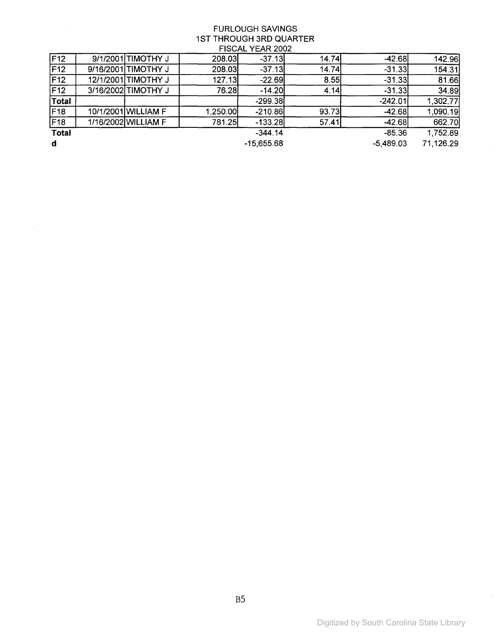| F12          | 9/1/2001 TIMOTHY J  | 208.03   | $-37.13$     | 14.74 | $-42.68$    | 142.96    |
|--------------|---------------------|----------|--------------|-------|-------------|-----------|
| F12          | 9/16/2001 TIMOTHY J | 208.03   | $-37.13$     | 14.74 | $-31.33$    | 154.31    |
| F12          | 12/1/2001 TIMOTHY J | 127.13   | $-22.69$     | 8.55  | $-31.33$    | 81.66     |
| F12          | 3/16/2002 TIMOTHY J | 76.28    | $-14.20$     | 4.14  | $-31.33$    | 34.89     |
| <b>Total</b> |                     |          | $-299.38$    |       | $-242.01$   | 1,302.77  |
| F18          | 10/1/2001 WILLIAM F | 1,250.00 | $-210.86$    | 93.73 | $-42.68$    | 1,090.19  |
| F18          | 1/16/2002 WILLIAM F | 781.25   | $-133.28$    | 57.41 | $-42.68$    | 662.70    |
| <b>Total</b> |                     |          | $-344.14$    |       | $-85.36$    | 1,752.89  |
| <b>d</b>     |                     |          | $-15,655.68$ |       | $-5,489.03$ | 71.126.29 |

 $\mathcal{L}^{\text{max}}_{\text{max}}$  and  $\mathcal{L}^{\text{max}}_{\text{max}}$ 

 $\sim$ 

 $\bar{z}$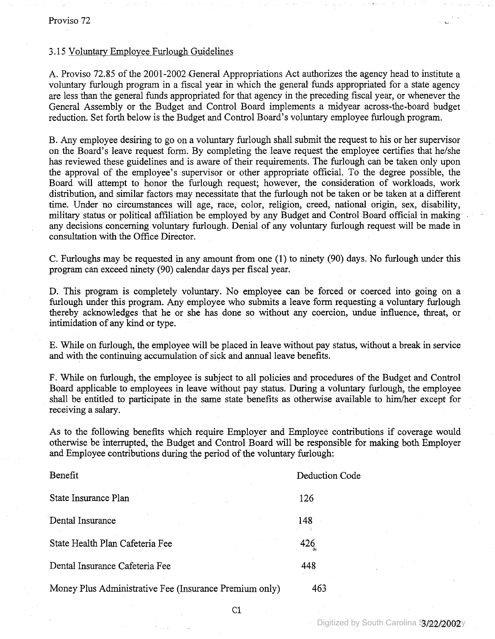#### 3.15 Voluntary Employee Furlough Guidelines

A. Proviso 72.85 of the 2001-2002 General Appropriations Act authorizes the agency head to institute a voluntary furlough program in a fiscal year in which the general funds appropriated for a state agency are less than the general funds appropriated for that agency in the preceding fiscal year, or whenever the General Assembly or the Budget and Control Board implements a midyear across-the-board budget reduction. Set forth below is the Budget and Control Board's voluntary employee furlough program.

B. Any employee desiring to go on a voluntary furlough shall submit the request to his or her supervisor on the Board's leave request form. By completing the leave request the employee certifies that he/she has reviewed these guidelines and is aware of their requirements. The furlough can be taken only upon the approval of the employee's supervisor or other appropriate officiaL To the degree possible, the Board will attempt to honor the furlough request; however, the consideration of workloads, work distribution, and similar factors may necessitate that the furlough not be taken or be taken at a different time. Under no circumstances will age, race, color, religion, creed, national origin, sex, disability, military status or political affiliation be employed by any Budget and Control Board official in making any decisions concerning voluntary furlough. Denial of any voluntary furlough request will be made in consultation with the Office Director.

C. Furloughs may be requested in any amount from one (l) to ninety (90) days. No furlough under this program can exceed ninety (90) calendar days per fiscal year.

D. This program is completely voluntary. No employee can be forced or coerced into going on a furlough under this program. Any employee who submits a leave form requesting a voluntary furlough thereby acknowledges that he or she has done so without any coercion, undue' influence, threat, or intimidation of any kind or type.

E. While on furlough, the employee will be placed in leave without pay status, without a break in service and with the continuing accumulation of sick and annual leave benefits.

F. While on furlough, the employee is subject to all policies and procedures of the Budget and Control Board applicable to employees in leave without pay status. During a voluntary furlough, the employee shall be entitled to participate in the same state benefits as otherwise available to him/her except for receiving a salary.

As to the following benefits which require Employer and Employee contributions if coverage would otherwise be interrupted, the Budget and Control Board will be responsible for making both Employer and Employee contributions during the period of the voluntary furlough:

| Benefit                                                | Deduction Code |
|--------------------------------------------------------|----------------|
| State Insurance Plan                                   | 126            |
| Dental Insurance                                       | 148            |
| State Health Plan Cafeteria Fee                        | 426            |
| Dental Insurance Cafeteria Fee                         | 448            |
| Money Plus Administrative Fee (Insurance Premium only) | 463            |

Cl

.......-.